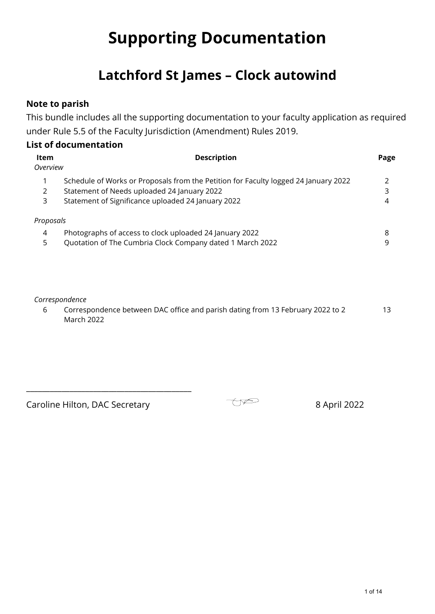# **Supporting Documentation**

## **Latchford St James – Clock autowind**

## **Note to parish**

This bundle includes all the supporting documentation to your faculty application as required under Rule 5.5 of the Faculty Jurisdiction (Amendment) Rules 2019.

## **List of documentation**

| <b>Item</b><br>Overview | <b>Description</b>                                                                  | Page |
|-------------------------|-------------------------------------------------------------------------------------|------|
|                         | Schedule of Works or Proposals from the Petition for Faculty logged 24 January 2022 |      |
| 2                       | Statement of Needs uploaded 24 January 2022                                         | 3    |
| 3                       | Statement of Significance uploaded 24 January 2022                                  | 4    |
| Proposals               |                                                                                     |      |
| 4                       | Photographs of access to clock uploaded 24 January 2022                             | 8    |
| 5                       | Quotation of The Cumbria Clock Company dated 1 March 2022                           | 9    |
|                         |                                                                                     |      |

#### *Correspondence*

6 Correspondence between DAC office and parish dating from 13 February 2022 to 2 March 2022 13

Caroline Hilton, DAC Secretary **Example 2022** 8 April 2022

\_\_\_\_\_\_\_\_\_\_\_\_\_\_\_\_\_\_\_\_\_\_\_\_\_\_\_\_\_\_\_\_\_\_\_\_\_\_\_\_\_\_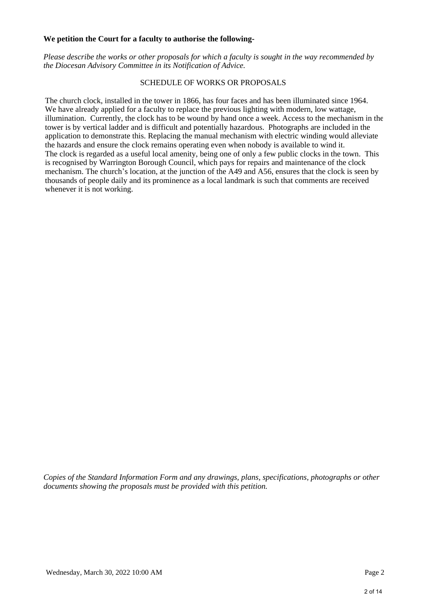#### **We petition the Court for a faculty to authorise the following-**

*Please describe the works or other proposals for which a faculty is sought in the way recommended by the Diocesan Advisory Committee in its Notification of Advice.*

#### SCHEDULE OF WORKS OR PROPOSALS

The church clock, installed in the tower in 1866, has four faces and has been illuminated since 1964. We have already applied for a faculty to replace the previous lighting with modern, low wattage, illumination. Currently, the clock has to be wound by hand once a week. Access to the mechanism in the tower is by vertical ladder and is difficult and potentially hazardous. Photographs are included in the application to demonstrate this. Replacing the manual mechanism with electric winding would alleviate the hazards and ensure the clock remains operating even when nobody is available to wind it. The clock is regarded as a useful local amenity, being one of only a few public clocks in the town. This is recognised by Warrington Borough Council, which pays for repairs and maintenance of the clock mechanism. The church's location, at the junction of the A49 and A56, ensures that the clock is seen by thousands of people daily and its prominence as a local landmark is such that comments are received whenever it is not working.

*Copies of the Standard Information Form and any drawings, plans, specifications, photographs or other documents showing the proposals must be provided with this petition.*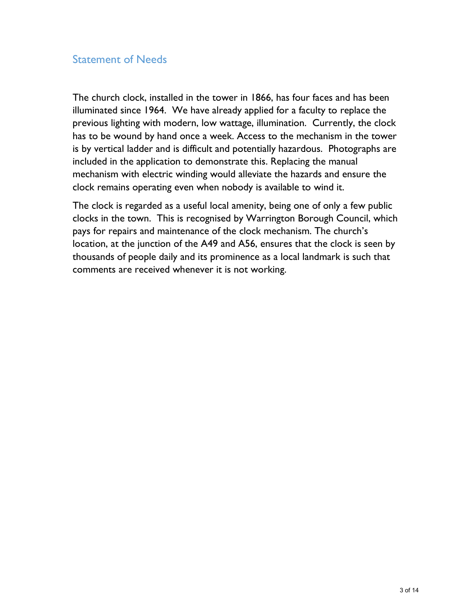## Statement of Needs

The church clock, installed in the tower in 1866, has four faces and has been illuminated since 1964. We have already applied for a faculty to replace the previous lighting with modern, low wattage, illumination. Currently, the clock has to be wound by hand once a week. Access to the mechanism in the tower is by vertical ladder and is difficult and potentially hazardous. Photographs are included in the application to demonstrate this. Replacing the manual mechanism with electric winding would alleviate the hazards and ensure the clock remains operating even when nobody is available to wind it.

The clock is regarded as a useful local amenity, being one of only a few public clocks in the town. This is recognised by Warrington Borough Council, which pays for repairs and maintenance of the clock mechanism. The church's location, at the junction of the A49 and A56, ensures that the clock is seen by thousands of people daily and its prominence as a local landmark is such that comments are received whenever it is not working.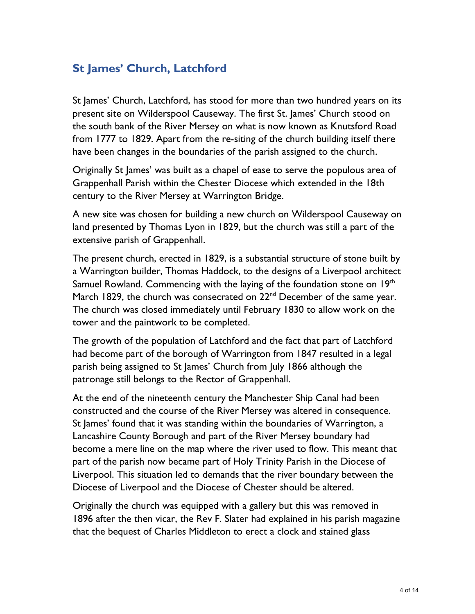## **St James' Church, Latchford**

St James' Church, Latchford, has stood for more than two hundred years on its present site on Wilderspool Causeway. The first St. James' Church stood on the south bank of the River Mersey on what is now known as Knutsford Road from 1777 to 1829. Apart from the re-siting of the church building itself there have been changes in the boundaries of the parish assigned to the church.

Originally St James' was built as a chapel of ease to serve the populous area of Grappenhall Parish within the Chester Diocese which extended in the 18th century to the River Mersey at Warrington Bridge.

A new site was chosen for building a new church on Wilderspool Causeway on land presented by Thomas Lyon in 1829, but the church was still a part of the extensive parish of Grappenhall.

The present church, erected in 1829, is a substantial structure of stone built by a Warrington builder, Thomas Haddock, to the designs of a Liverpool architect Samuel Rowland. Commencing with the laying of the foundation stone on 19th March 1829, the church was consecrated on 22<sup>nd</sup> December of the same year. The church was closed immediately until February 1830 to allow work on the tower and the paintwork to be completed.

The growth of the population of Latchford and the fact that part of Latchford had become part of the borough of Warrington from 1847 resulted in a legal parish being assigned to St James' Church from July 1866 although the patronage still belongs to the Rector of Grappenhall.

At the end of the nineteenth century the Manchester Ship Canal had been constructed and the course of the River Mersey was altered in consequence. St James' found that it was standing within the boundaries of Warrington, a Lancashire County Borough and part of the River Mersey boundary had become a mere line on the map where the river used to flow. This meant that part of the parish now became part of Holy Trinity Parish in the Diocese of Liverpool. This situation led to demands that the river boundary between the Diocese of Liverpool and the Diocese of Chester should be altered.

Originally the church was equipped with a gallery but this was removed in 1896 after the then vicar, the Rev F. Slater had explained in his parish magazine that the bequest of Charles Middleton to erect a clock and stained glass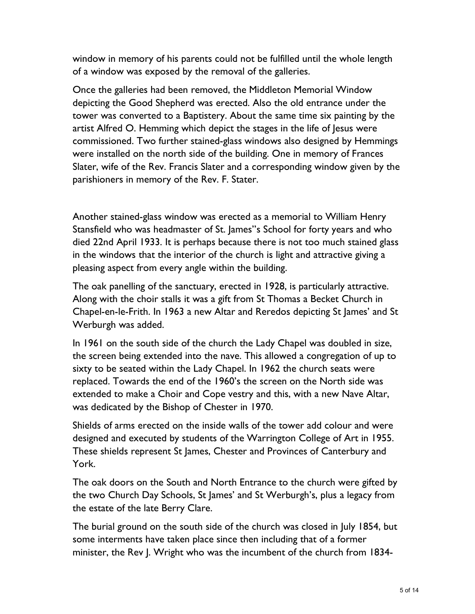window in memory of his parents could not be fulfilled until the whole length of a window was exposed by the removal of the galleries.

Once the galleries had been removed, the Middleton Memorial Window depicting the Good Shepherd was erected. Also the old entrance under the tower was converted to a Baptistery. About the same time six painting by the artist Alfred O. Hemming which depict the stages in the life of Jesus were commissioned. Two further stained-glass windows also designed by Hemmings were installed on the north side of the building. One in memory of Frances Slater, wife of the Rev. Francis Slater and a corresponding window given by the parishioners in memory of the Rev. F. Stater.

Another stained-glass window was erected as a memorial to William Henry Stansfield who was headmaster of St. James''s School for forty years and who died 22nd April 1933. It is perhaps because there is not too much stained glass in the windows that the interior of the church is light and attractive giving a pleasing aspect from every angle within the building.

The oak panelling of the sanctuary, erected in 1928, is particularly attractive. Along with the choir stalls it was a gift from St Thomas a Becket Church in Chapel-en-le-Frith. In 1963 a new Altar and Reredos depicting St James' and St Werburgh was added.

In 1961 on the south side of the church the Lady Chapel was doubled in size, the screen being extended into the nave. This allowed a congregation of up to sixty to be seated within the Lady Chapel. In 1962 the church seats were replaced. Towards the end of the 1960's the screen on the North side was extended to make a Choir and Cope vestry and this, with a new Nave Altar, was dedicated by the Bishop of Chester in 1970.

Shields of arms erected on the inside walls of the tower add colour and were designed and executed by students of the Warrington College of Art in 1955. These shields represent St James, Chester and Provinces of Canterbury and York.

The oak doors on the South and North Entrance to the church were gifted by the two Church Day Schools, St James' and St Werburgh's, plus a legacy from the estate of the late Berry Clare.

The burial ground on the south side of the church was closed in July 1854, but some interments have taken place since then including that of a former minister, the Rev J. Wright who was the incumbent of the church from 1834-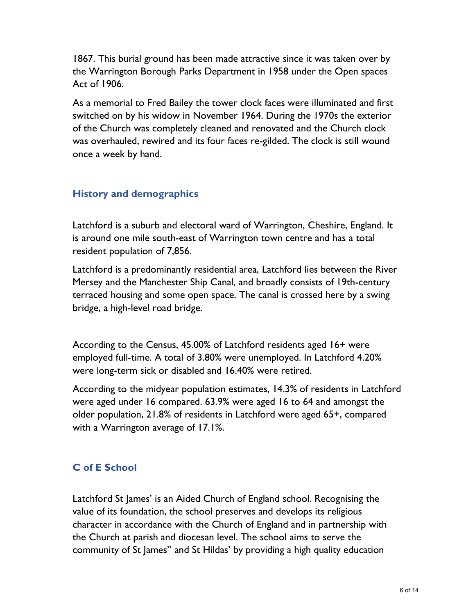1867. This burial ground has been made attractive since it was taken over by the Warrington Borough Parks Department in 1958 under the Open spaces Act of 1906.

As a memorial to Fred Bailey the tower clock faces were illuminated and first switched on by his widow in November 1964. During the 1970s the exterior of the Church was completely cleaned and renovated and the Church clock was overhauled, rewired and its four faces re-gilded. The clock is still wound once a week by hand.

## **History and demographics**

Latchford is a suburb and electoral ward of Warrington, Cheshire, England. It is around one mile south-east of Warrington town centre and has a total resident population of 7,856.

Latchford is a predominantly residential area, Latchford lies between the River Mersey and the Manchester Ship Canal, and broadly consists of 19th-century terraced housing and some open space. The canal is crossed here by a swing bridge, a high-level road bridge.

According to the Census, 45.00% of Latchford residents aged 16+ were employed full-time. A total of 3.80% were unemployed. In Latchford 4.20% were long-term sick or disabled and 16.40% were retired.

According to the midyear population estimates, 14.3% of residents in Latchford were aged under 16 compared. 63.9% were aged 16 to 64 and amongst the older population, 21.8% of residents in Latchford were aged 65+, compared with a Warrington average of 17.1%.

## **C of E School**

Latchford St James' is an Aided Church of England school. Recognising the value of its foundation, the school preserves and develops its religious character in accordance with the Church of England and in partnership with the Church at parish and diocesan level. The school aims to serve the community of St James'' and St Hildas' by providing a high quality education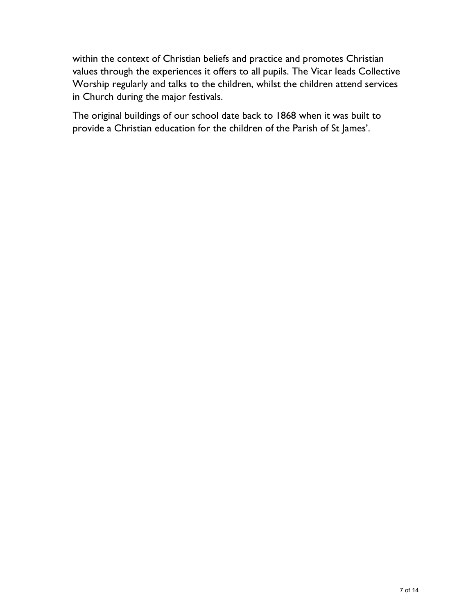within the context of Christian beliefs and practice and promotes Christian values through the experiences it offers to all pupils. The Vicar leads Collective Worship regularly and talks to the children, whilst the children attend services in Church during the major festivals.

The original buildings of our school date back to 1868 when it was built to provide a Christian education for the children of the Parish of St James'.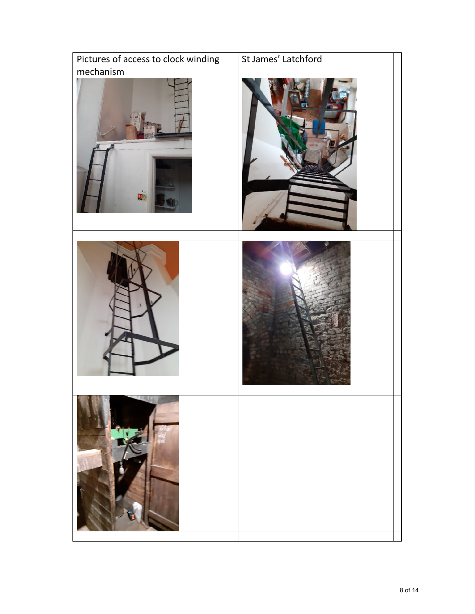| Pictures of access to clock winding | St James' Latchford |
|-------------------------------------|---------------------|
| mechanism<br>圃                      |                     |
|                                     |                     |
|                                     |                     |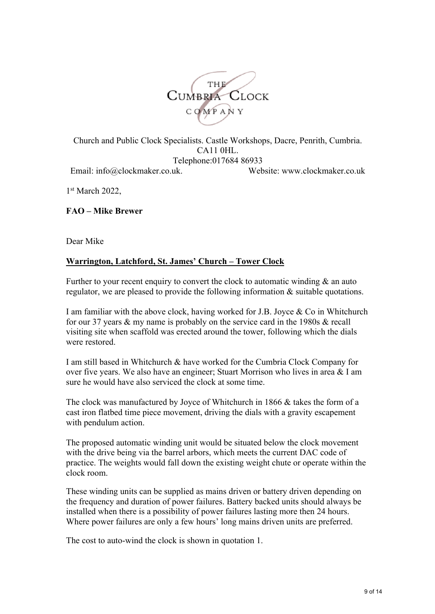

Church and Public Clock Specialists. Castle Workshops, Dacre, Penrith, Cumbria. CA11 0HL. Telephone:017684 86933 Email: info@clockmaker.co.uk. Website: www.clockmaker.co.uk

1st March 2022.

**FAO – Mike Brewer**

Dear Mike

#### **Warrington, Latchford, St. James' Church – Tower Clock**

Further to your recent enquiry to convert the clock to automatic winding  $\&$  an auto regulator, we are pleased to provide the following information & suitable quotations.

I am familiar with the above clock, having worked for J.B. Joyce & Co in Whitchurch for our 37 years & my name is probably on the service card in the 1980s & recall visiting site when scaffold was erected around the tower, following which the dials were restored.

I am still based in Whitchurch & have worked for the Cumbria Clock Company for over five years. We also have an engineer; Stuart Morrison who lives in area & I am sure he would have also serviced the clock at some time.

The clock was manufactured by Joyce of Whitchurch in 1866 & takes the form of a cast iron flatbed time piece movement, driving the dials with a gravity escapement with pendulum action.

The proposed automatic winding unit would be situated below the clock movement with the drive being via the barrel arbors, which meets the current DAC code of practice. The weights would fall down the existing weight chute or operate within the clock room.

These winding units can be supplied as mains driven or battery driven depending on the frequency and duration of power failures. Battery backed units should always be installed when there is a possibility of power failures lasting more then 24 hours. Where power failures are only a few hours' long mains driven units are preferred.

The cost to auto-wind the clock is shown in quotation 1.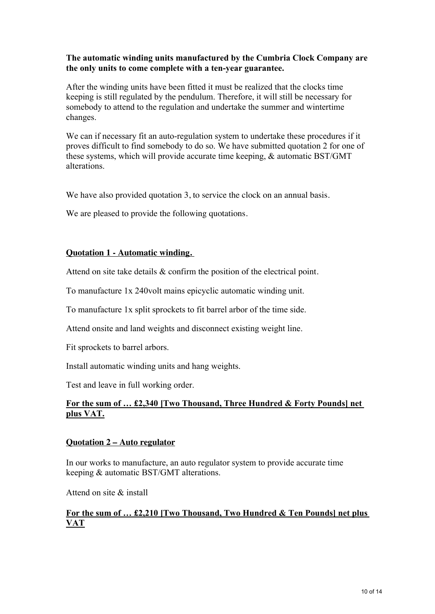#### **The automatic winding units manufactured by the Cumbria Clock Company are the only units to come complete with a ten-year guarantee.**

After the winding units have been fitted it must be realized that the clocks time keeping is still regulated by the pendulum. Therefore, it will still be necessary for somebody to attend to the regulation and undertake the summer and wintertime changes.

We can if necessary fit an auto-regulation system to undertake these procedures if it proves difficult to find somebody to do so. We have submitted quotation 2 for one of these systems, which will provide accurate time keeping, & automatic BST/GMT alterations.

We have also provided quotation 3, to service the clock on an annual basis.

We are pleased to provide the following quotations.

#### **Quotation 1 - Automatic winding.**

Attend on site take details & confirm the position of the electrical point.

To manufacture 1x 240volt mains epicyclic automatic winding unit.

To manufacture 1x split sprockets to fit barrel arbor of the time side.

Attend onsite and land weights and disconnect existing weight line.

Fit sprockets to barrel arbors.

Install automatic winding units and hang weights.

Test and leave in full working order.

#### **For the sum of … £2,340 [Two Thousand, Three Hundred & Forty Pounds] net plus VAT.**

#### **Quotation 2 – Auto regulator**

In our works to manufacture, an auto regulator system to provide accurate time keeping & automatic BST/GMT alterations.

Attend on site & install

#### **For the sum of … £2,210 [Two Thousand, Two Hundred & Ten Pounds] net plus VAT**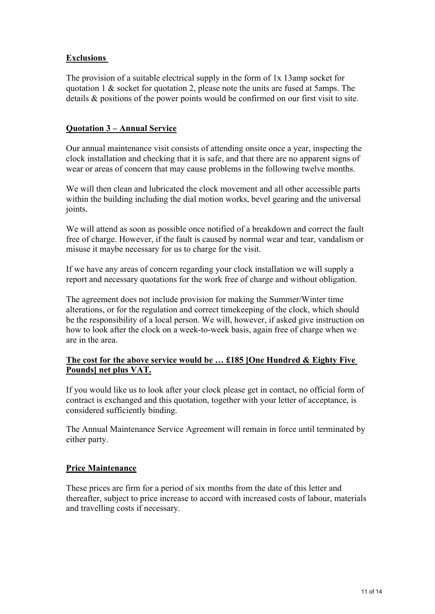#### **Exclusions**

The provision of a suitable electrical supply in the form of 1x 13amp socket for quotation 1 & socket for quotation 2, please note the units are fused at 5amps. The details & positions of the power points would be confirmed on our first visit to site.

#### **Quotation 3 – Annual Service**

Our annual maintenance visit consists of attending onsite once a year, inspecting the clock installation and checking that it is safe, and that there are no apparent signs of wear or areas of concern that may cause problems in the following twelve months.

We will then clean and lubricated the clock movement and all other accessible parts within the building including the dial motion works, bevel gearing and the universal joints.

We will attend as soon as possible once notified of a breakdown and correct the fault free of charge. However, if the fault is caused by normal wear and tear, vandalism or misuse it maybe necessary for us to charge for the visit.

If we have any areas of concern regarding your clock installation we will supply a report and necessary quotations for the work free of charge and without obligation.

The agreement does not include provision for making the Summer/Winter time alterations, or for the regulation and correct timekeeping of the clock, which should be the responsibility of a local person. We will, however, if asked give instruction on how to look after the clock on a week-to-week basis, again free of charge when we are in the area.

#### **The cost for the above service would be … £185 [One Hundred & Eighty Five Pounds] net plus VAT.**

If you would like us to look after your clock please get in contact, no official form of contract is exchanged and this quotation, together with your letter of acceptance, is considered sufficiently binding.

The Annual Maintenance Service Agreement will remain in force until terminated by either party.

#### **Price Maintenance**

These prices are firm for a period of six months from the date of this letter and thereafter, subject to price increase to accord with increased costs of labour, materials and travelling costs if necessary.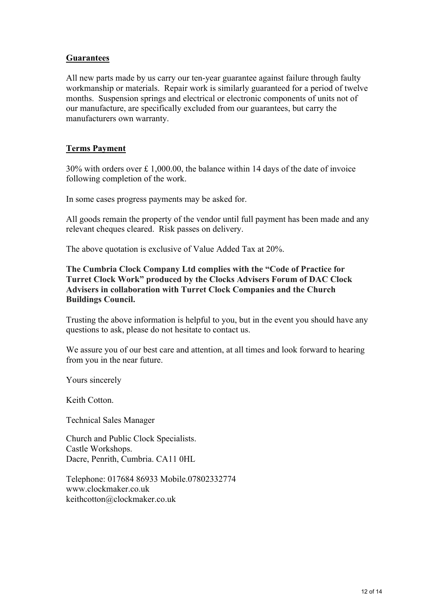#### **Guarantees**

All new parts made by us carry our ten-year guarantee against failure through faulty workmanship or materials. Repair work is similarly guaranteed for a period of twelve months. Suspension springs and electrical or electronic components of units not of our manufacture, are specifically excluded from our guarantees, but carry the manufacturers own warranty.

#### **Terms Payment**

30% with orders over £ 1,000.00, the balance within 14 days of the date of invoice following completion of the work.

In some cases progress payments may be asked for.

All goods remain the property of the vendor until full payment has been made and any relevant cheques cleared. Risk passes on delivery.

The above quotation is exclusive of Value Added Tax at 20%.

**The Cumbria Clock Company Ltd complies with the "Code of Practice for Turret Clock Work" produced by the Clocks Advisers Forum of DAC Clock Advisers in collaboration with Turret Clock Companies and the Church Buildings Council.**

Trusting the above information is helpful to you, but in the event you should have any questions to ask, please do not hesitate to contact us.

We assure you of our best care and attention, at all times and look forward to hearing from you in the near future.

Yours sincerely

Keith Cotton.

Technical Sales Manager

Church and Public Clock Specialists. Castle Workshops. Dacre, Penrith, Cumbria. CA11 0HL

Telephone: 017684 86933 Mobile.07802332774 www.clockmaker.co.uk keithcotton@clockmaker.co.uk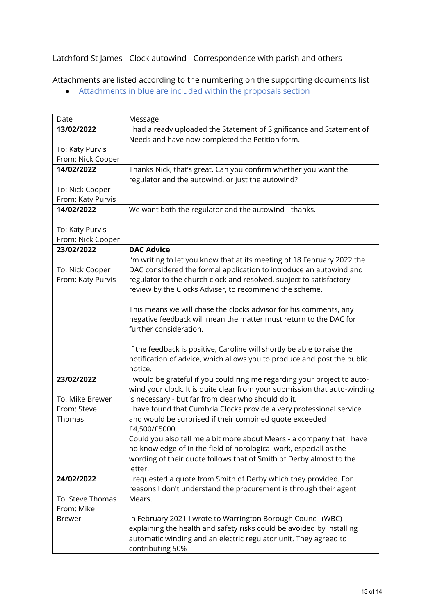### Latchford St James - Clock autowind - Correspondence with parish and others

Attachments are listed according to the numbering on the supporting documents list

• Attachments in blue are included within the proposals section

| Date              | Message                                                                   |
|-------------------|---------------------------------------------------------------------------|
| 13/02/2022        | I had already uploaded the Statement of Significance and Statement of     |
|                   | Needs and have now completed the Petition form.                           |
| To: Katy Purvis   |                                                                           |
| From: Nick Cooper |                                                                           |
| 14/02/2022        | Thanks Nick, that's great. Can you confirm whether you want the           |
|                   | regulator and the autowind, or just the autowind?                         |
| To: Nick Cooper   |                                                                           |
| From: Katy Purvis |                                                                           |
| 14/02/2022        | We want both the regulator and the autowind - thanks.                     |
| To: Katy Purvis   |                                                                           |
| From: Nick Cooper |                                                                           |
| 23/02/2022        | <b>DAC Advice</b>                                                         |
|                   | I'm writing to let you know that at its meeting of 18 February 2022 the   |
| To: Nick Cooper   | DAC considered the formal application to introduce an autowind and        |
| From: Katy Purvis | regulator to the church clock and resolved, subject to satisfactory       |
|                   | review by the Clocks Adviser, to recommend the scheme.                    |
|                   |                                                                           |
|                   | This means we will chase the clocks advisor for his comments, any         |
|                   | negative feedback will mean the matter must return to the DAC for         |
|                   | further consideration.                                                    |
|                   |                                                                           |
|                   | If the feedback is positive, Caroline will shortly be able to raise the   |
|                   | notification of advice, which allows you to produce and post the public   |
|                   | notice.                                                                   |
| 23/02/2022        | I would be grateful if you could ring me regarding your project to auto-  |
|                   | wind your clock. It is quite clear from your submission that auto-winding |
| To: Mike Brewer   | is necessary - but far from clear who should do it.                       |
| From: Steve       | I have found that Cumbria Clocks provide a very professional service      |
| Thomas            | and would be surprised if their combined quote exceeded                   |
|                   | £4,500/£5000.                                                             |
|                   | Could you also tell me a bit more about Mears - a company that I have     |
|                   | no knowledge of in the field of horological work, especiall as the        |
|                   | wording of their quote follows that of Smith of Derby almost to the       |
|                   | letter.                                                                   |
| 24/02/2022        | I requested a quote from Smith of Derby which they provided. For          |
|                   | reasons I don't understand the procurement is through their agent         |
| To: Steve Thomas  | Mears.                                                                    |
| From: Mike        |                                                                           |
| <b>Brewer</b>     | In February 2021 I wrote to Warrington Borough Council (WBC)              |
|                   | explaining the health and safety risks could be avoided by installing     |
|                   | automatic winding and an electric regulator unit. They agreed to          |
|                   | contributing 50%                                                          |